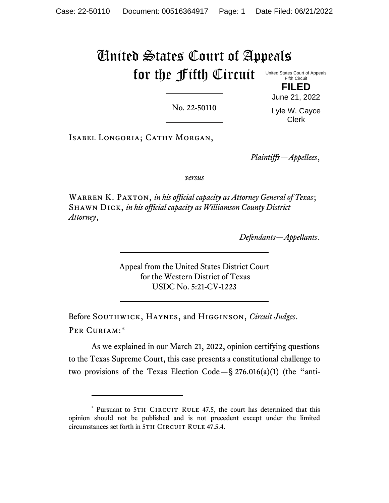## United States Court of Appeals for the Fifth Circuit United States Court of Appeals Fifth Circuit

No. 22-50110

**FILED** June 21, 2022

Lyle W. Cayce Clerk

ISABEL LONGORIA; CATHY MORGAN,

*Plaintiffs—Appellees*,

*versus*

WARREN K. PAXTON, *in his official capacity as Attorney General of Texas*; Shawn Dick, *in his official capacity as Williamson County District Attorney*,

*Defendants—Appellants*.

Appeal from the United States District Court for the Western District of Texas USDC No. 5:21-CV-1223

Before Southwick, Haynes, and Higginson, *Circuit Judges*. Per Curiam:\*

As we explained in our March 21, 2022, opinion certifying questions to the Texas Supreme Court, this case presents a constitutional challenge to two provisions of the Texas Election Code  $-\S 276.016(a)(1)$  (the "anti-

<sup>\*</sup> Pursuant to 5TH CIRCUIT RULE 47.5, the court has determined that this opinion should not be published and is not precedent except under the limited circumstances set forth in 5TH CIRCUIT RULE 47.5.4.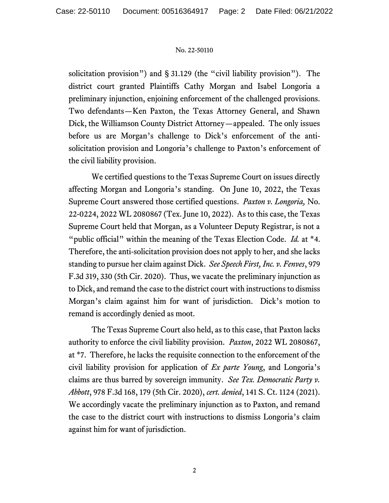## No. 22-50110

solicitation provision") and § 31.129 (the "civil liability provision"). The district court granted Plaintiffs Cathy Morgan and Isabel Longoria a preliminary injunction, enjoining enforcement of the challenged provisions. Two defendants—Ken Paxton, the Texas Attorney General, and Shawn Dick, the Williamson County District Attorney—appealed. The only issues before us are Morgan's challenge to Dick's enforcement of the antisolicitation provision and Longoria's challenge to Paxton's enforcement of the civil liability provision.

We certified questions to the Texas Supreme Court on issues directly affecting Morgan and Longoria's standing. On June 10, 2022, the Texas Supreme Court answered those certified questions. *Paxton v. Longoria,* No. 22-0224, 2022 WL 2080867 (Tex. June 10, 2022). As to this case, the Texas Supreme Court held that Morgan, as a Volunteer Deputy Registrar, is not a "public official" within the meaning of the Texas Election Code. *Id.* at \*4. Therefore, the anti-solicitation provision does not apply to her, and she lacks standing to pursue her claim against Dick. *See Speech First, Inc. v. Fenves*, 979 F.3d 319, 330 (5th Cir. 2020). Thus, we vacate the preliminary injunction as to Dick, and remand the case to the district court with instructions to dismiss Morgan's claim against him for want of jurisdiction. Dick's motion to remand is accordingly denied as moot.

The Texas Supreme Court also held, as to this case, that Paxton lacks authority to enforce the civil liability provision. *Paxton*, 2022 WL 2080867, at \*7. Therefore, he lacks the requisite connection to the enforcement of the civil liability provision for application of *Ex parte Young*, and Longoria's claims are thus barred by sovereign immunity. *See Tex. Democratic Party v. Abbott*, 978 F.3d 168, 179 (5th Cir. 2020), *cert. denied*, 141 S. Ct. 1124 (2021). We accordingly vacate the preliminary injunction as to Paxton, and remand the case to the district court with instructions to dismiss Longoria's claim against him for want of jurisdiction.